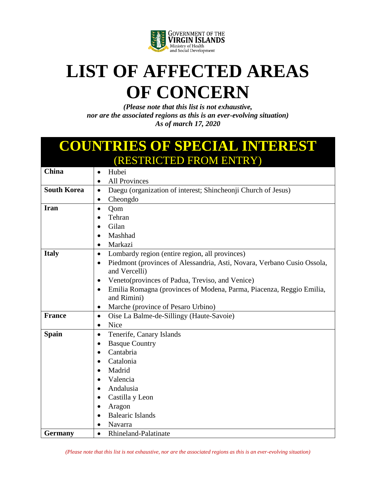

## **LIST OF AFFECTED AREAS OF CONCERN**

*(Please note that this list is not exhaustive, nor are the associated regions as this is an ever-evolving situation) As of march 17, 2020*

## **COUNTRIES OF SPECIAL INTEREST**  (RESTRICTED FROM ENTRY)

| <b>China</b>       | Hubei<br>$\bullet$                                                                               |
|--------------------|--------------------------------------------------------------------------------------------------|
|                    | <b>All Provinces</b><br>$\bullet$                                                                |
| <b>South Korea</b> | Daegu (organization of interest; Shincheonji Church of Jesus)<br>$\bullet$                       |
|                    | Cheongdo<br>$\bullet$                                                                            |
| <b>Iran</b>        | Qom<br>$\bullet$                                                                                 |
|                    | Tehran<br>$\bullet$                                                                              |
|                    | Gilan                                                                                            |
|                    | Mashhad<br>$\bullet$                                                                             |
|                    | Markazi                                                                                          |
| <b>Italy</b>       | Lombardy region (entire region, all provinces)<br>$\bullet$                                      |
|                    | Piedmont (provinces of Alessandria, Asti, Novara, Verbano Cusio Ossola,<br>$\bullet$             |
|                    | and Vercelli)                                                                                    |
|                    | Veneto(provinces of Padua, Treviso, and Venice)<br>$\bullet$                                     |
|                    | Emilia Romagna (provinces of Modena, Parma, Piacenza, Reggio Emilia,<br>$\bullet$<br>and Rimini) |
|                    | Marche (province of Pesaro Urbino)<br>$\bullet$                                                  |
| <b>France</b>      | Oise La Balme-de-Sillingy (Haute-Savoie)<br>$\bullet$                                            |
|                    | Nice<br>$\bullet$                                                                                |
| <b>Spain</b>       | Tenerife, Canary Islands<br>$\bullet$                                                            |
|                    | <b>Basque Country</b><br>$\bullet$                                                               |
|                    | Cantabria<br>$\bullet$                                                                           |
|                    | Catalonia                                                                                        |
|                    | Madrid                                                                                           |
|                    | Valencia                                                                                         |
|                    | Andalusia                                                                                        |
|                    | Castilla y Leon<br>$\bullet$                                                                     |
|                    | Aragon<br>$\bullet$                                                                              |
|                    | <b>Balearic Islands</b>                                                                          |
|                    | Navarra                                                                                          |
| <b>Germany</b>     | Rhineland-Palatinate<br>$\bullet$                                                                |

*(Please note that this list is not exhaustive, nor are the associated regions as this is an ever-evolving situation)*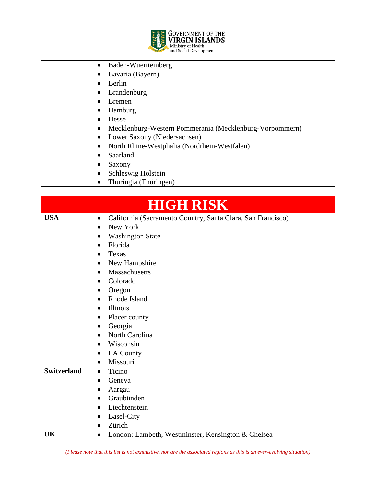

| Baden-Wuerttemberg<br>٠                                                  |
|--------------------------------------------------------------------------|
| Bavaria (Bayern)<br>$\bullet$                                            |
| Berlin<br>$\bullet$                                                      |
| Brandenburg<br>$\bullet$                                                 |
| <b>Bremen</b><br>$\bullet$                                               |
| Hamburg                                                                  |
| Hesse<br>$\bullet$                                                       |
| Mecklenburg-Western Pommerania (Mecklenburg-Vorpommern)                  |
| Lower Saxony (Niedersachsen)<br>$\bullet$                                |
| North Rhine-Westphalia (Nordrhein-Westfalen)<br>٠                        |
| Saarland<br>$\bullet$                                                    |
| Saxony                                                                   |
| Schleswig Holstein<br>$\bullet$                                          |
| Thuringia (Thüringen)                                                    |
|                                                                          |
| <b>HIGH RISK</b>                                                         |
|                                                                          |
| California (Sacramento Country, Santa Clara, San Francisco)<br>$\bullet$ |
| New York<br>$\bullet$                                                    |
| <b>Washington State</b>                                                  |
| Florida<br>$\bullet$                                                     |
| Texas<br>$\bullet$                                                       |
| New Hampshire<br>$\bullet$                                               |
| Massachusetts<br>$\bullet$                                               |
| Colorado                                                                 |
| Oregon                                                                   |
| Rhode Island<br>$\bullet$                                                |
| Illinois<br>$\bullet$                                                    |
| Placer county                                                            |
| Georgia                                                                  |
| North Carolina<br>$\bullet$                                              |
| Wisconsin                                                                |
| LA County                                                                |
| Missouri<br>$\bullet$                                                    |
| Ticino<br>$\bullet$                                                      |
| Geneva<br>$\bullet$                                                      |
| Aargau                                                                   |
| Graubünden                                                               |
| Liechtenstein                                                            |
| <b>Basel-City</b>                                                        |
| Zürich                                                                   |
| London: Lambeth, Westminster, Kensington & Chelsea<br>$\bullet$          |
|                                                                          |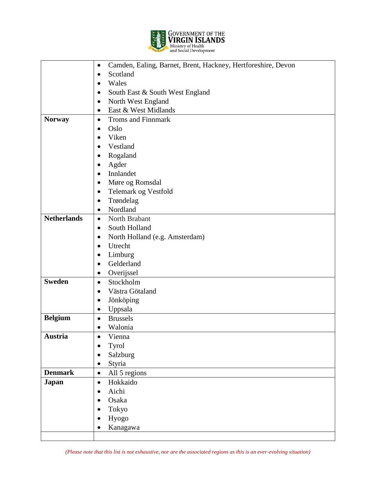

|                    | Camden, Ealing, Barnet, Brent, Hackney, Hertforeshire, Devon<br>$\bullet$ |
|--------------------|---------------------------------------------------------------------------|
|                    | Scotland<br>$\bullet$                                                     |
|                    | Wales<br>$\bullet$                                                        |
|                    | South East & South West England<br>$\bullet$                              |
|                    | North West England<br>$\bullet$                                           |
|                    | East & West Midlands<br>$\bullet$                                         |
| <b>Norway</b>      | <b>Troms and Finnmark</b><br>$\bullet$                                    |
|                    | Oslo<br>$\bullet$                                                         |
|                    | Viken<br>$\bullet$                                                        |
|                    | Vestland                                                                  |
|                    | Rogaland                                                                  |
|                    | Agder<br>$\bullet$                                                        |
|                    | Innlandet<br>$\bullet$                                                    |
|                    | Møre og Romsdal<br>$\bullet$                                              |
|                    | Telemark og Vestfold<br>$\bullet$                                         |
|                    | Trøndelag<br>$\bullet$                                                    |
|                    | Nordland<br>$\bullet$                                                     |
| <b>Netherlands</b> | North Brabant<br>$\bullet$                                                |
|                    | South Holland<br>$\bullet$                                                |
|                    | North Holland (e.g. Amsterdam)<br>$\bullet$                               |
|                    | Utrecht<br>$\bullet$                                                      |
|                    | Limburg<br>$\bullet$                                                      |
|                    | Gelderland<br>$\bullet$                                                   |
|                    | Overijssel<br>$\bullet$                                                   |
| <b>Sweden</b>      | Stockholm<br>$\bullet$                                                    |
|                    | Västra Götaland<br>$\bullet$                                              |
|                    | Jönköping<br>$\bullet$                                                    |
|                    | Uppsala<br>٠                                                              |
| <b>Belgium</b>     | <b>Brussels</b><br>$\bullet$                                              |
|                    | Walonia<br>$\bullet$                                                      |
| <b>Austria</b>     | Vienna<br>$\bullet$                                                       |
|                    | Tyrol                                                                     |
|                    | Salzburg                                                                  |
|                    | Styria<br>$\bullet$                                                       |
| <b>Denmark</b>     | All 5 regions<br>$\bullet$                                                |
| <b>Japan</b>       | Hokkaido<br>$\bullet$                                                     |
|                    | Aichi<br>$\bullet$                                                        |
|                    | Osaka<br>●                                                                |
|                    | Tokyo                                                                     |
|                    | Hyogo<br>$\bullet$                                                        |
|                    | Kanagawa                                                                  |
|                    |                                                                           |
|                    |                                                                           |

*(Please note that this list is not exhaustive, nor are the associated regions as this is an ever-evolving situation)*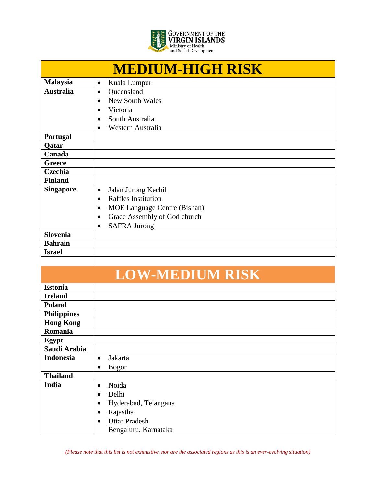

|                    | <b>MEDIUM-HIGH RISK</b>                   |
|--------------------|-------------------------------------------|
| Malaysia           | Kuala Lumpur<br>$\bullet$                 |
| <b>Australia</b>   | Queensland<br>$\bullet$                   |
|                    | <b>New South Wales</b>                    |
|                    | Victoria<br>$\bullet$                     |
|                    | South Australia                           |
|                    | Western Australia                         |
| Portugal           |                                           |
| Qatar              |                                           |
| Canada             |                                           |
| <b>Greece</b>      |                                           |
| <b>Czechia</b>     |                                           |
| <b>Finland</b>     |                                           |
| <b>Singapore</b>   | Jalan Jurong Kechil<br>$\bullet$          |
|                    | <b>Raffles Institution</b><br>$\bullet$   |
|                    | <b>MOE Language Centre (Bishan)</b>       |
|                    | Grace Assembly of God church<br>$\bullet$ |
|                    | <b>SAFRA Jurong</b>                       |
| <b>Slovenia</b>    |                                           |
| <b>Bahrain</b>     |                                           |
| <b>Israel</b>      |                                           |
|                    |                                           |
|                    | <b>LOW-MEDIUM RISK</b>                    |
| <b>Estonia</b>     |                                           |
| <b>Ireland</b>     |                                           |
| <b>Poland</b>      |                                           |
| <b>Philippines</b> |                                           |
| <b>Hong Kong</b>   |                                           |
| Romania            |                                           |
| Egypt              |                                           |
| Saudi Arabia       |                                           |
| <b>Indonesia</b>   | Jakarta<br>$\bullet$                      |
|                    | <b>Bogor</b><br>٠                         |
| <b>Thailand</b>    |                                           |
| <b>India</b>       | Noida<br>$\bullet$                        |
|                    | Delhi<br>$\bullet$                        |
|                    | Hyderabad, Telangana                      |
|                    | Rajastha                                  |
|                    | <b>Uttar Pradesh</b>                      |
|                    | Bengaluru, Karnataka                      |